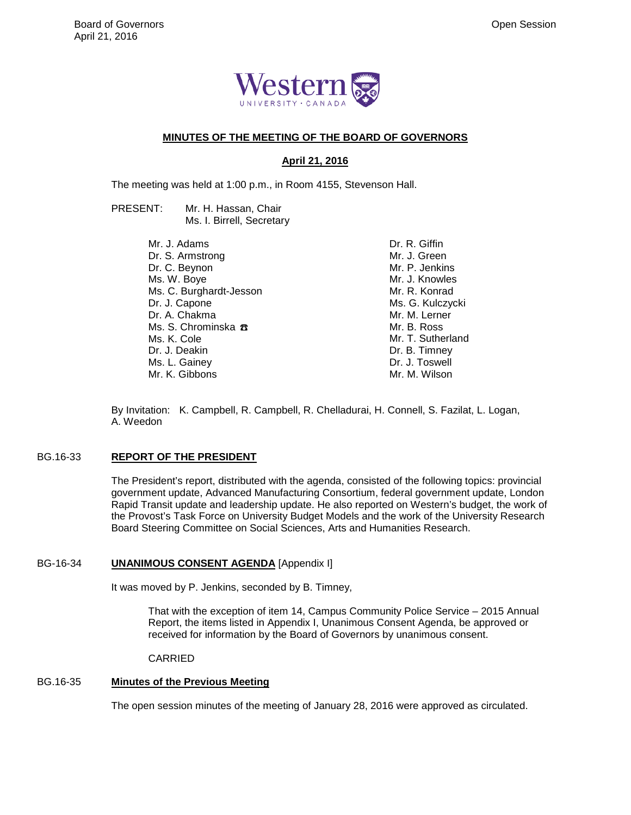

#### **MINUTES OF THE MEETING OF THE BOARD OF GOVERNORS**

## **April 21, 2016**

The meeting was held at 1:00 p.m., in Room 4155, Stevenson Hall.

PRESENT: Mr. H. Hassan, Chair Ms. I. Birrell, Secretary

> Mr. J. Adams Dr. S. Armstrong Dr. C. Beynon Ms. W. Boye Ms. C. Burghardt-Jesson Dr. J. Capone Dr. A. Chakma Ms. S. Chrominska <del>B</del> Ms. K. Cole Dr. J. Deakin Ms. L. Gainey Mr. K. Gibbons

Dr. R. Giffin Mr. J. Green Mr. P. Jenkins Mr. J. Knowles Mr. R. Konrad Ms. G. Kulczycki Mr. M. Lerner Mr. B. Ross Mr. T. Sutherland Dr. B. Timney Dr. J. Toswell Mr. M. Wilson

By Invitation: K. Campbell, R. Campbell, R. Chelladurai, H. Connell, S. Fazilat, L. Logan, A. Weedon

#### BG.16-33 **REPORT OF THE PRESIDENT**

The President's report, distributed with the agenda, consisted of the following topics: provincial government update, Advanced Manufacturing Consortium, federal government update, London Rapid Transit update and leadership update. He also reported on Western's budget, the work of the Provost's Task Force on University Budget Models and the work of the University Research Board Steering Committee on Social Sciences, Arts and Humanities Research.

## BG-16-34 **UNANIMOUS CONSENT AGENDA** [Appendix I]

It was moved by P. Jenkins, seconded by B. Timney,

That with the exception of item 14, Campus Community Police Service – 2015 Annual Report, the items listed in Appendix I, Unanimous Consent Agenda, be approved or received for information by the Board of Governors by unanimous consent.

CARRIED

## BG.16-35 **Minutes of the Previous Meeting**

The open session minutes of the meeting of January 28, 2016 were approved as circulated.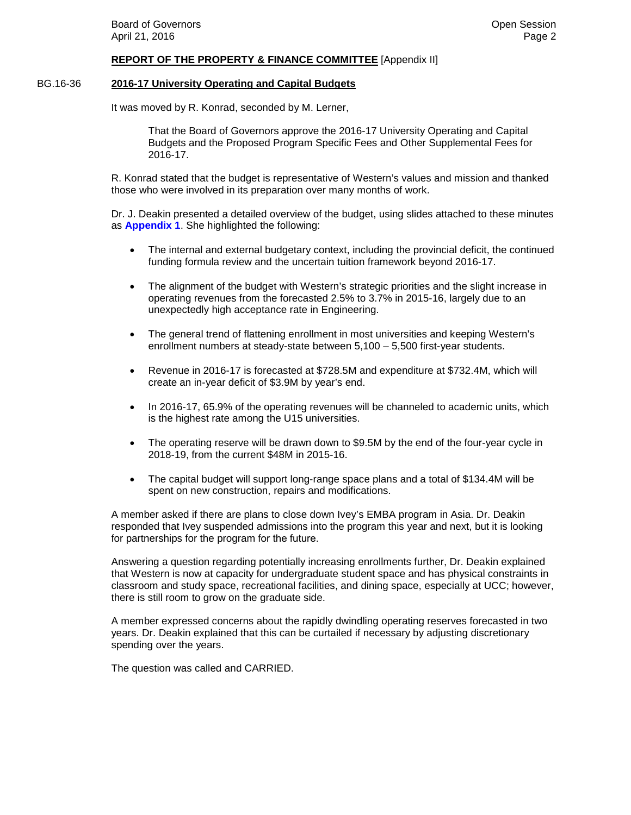#### **REPORT OF THE PROPERTY & FINANCE COMMITTEE** [Appendix II]

#### BG.16-36 **2016-17 University Operating and Capital Budgets**

It was moved by R. Konrad, seconded by M. Lerner,

That the Board of Governors approve the 2016-17 University Operating and Capital Budgets and the Proposed Program Specific Fees and Other Supplemental Fees for 2016-17.

R. Konrad stated that the budget is representative of Western's values and mission and thanked those who were involved in its preparation over many months of work.

Dr. J. Deakin presented a detailed overview of the budget, using slides attached to these minutes as **[Appendix 1](#page--1-0)**. She highlighted the following:

- The internal and external budgetary context, including the provincial deficit, the continued funding formula review and the uncertain tuition framework beyond 2016-17.
- The alignment of the budget with Western's strategic priorities and the slight increase in operating revenues from the forecasted 2.5% to 3.7% in 2015-16, largely due to an unexpectedly high acceptance rate in Engineering.
- The general trend of flattening enrollment in most universities and keeping Western's enrollment numbers at steady-state between 5,100 – 5,500 first-year students.
- Revenue in 2016-17 is forecasted at \$728.5M and expenditure at \$732.4M, which will create an in-year deficit of \$3.9M by year's end.
- In 2016-17, 65.9% of the operating revenues will be channeled to academic units, which is the highest rate among the U15 universities.
- The operating reserve will be drawn down to \$9.5M by the end of the four-year cycle in 2018-19, from the current \$48M in 2015-16.
- The capital budget will support long-range space plans and a total of \$134.4M will be spent on new construction, repairs and modifications.

A member asked if there are plans to close down Ivey's EMBA program in Asia. Dr. Deakin responded that Ivey suspended admissions into the program this year and next, but it is looking for partnerships for the program for the future.

Answering a question regarding potentially increasing enrollments further, Dr. Deakin explained that Western is now at capacity for undergraduate student space and has physical constraints in classroom and study space, recreational facilities, and dining space, especially at UCC; however, there is still room to grow on the graduate side.

A member expressed concerns about the rapidly dwindling operating reserves forecasted in two years. Dr. Deakin explained that this can be curtailed if necessary by adjusting discretionary spending over the years.

The question was called and CARRIED.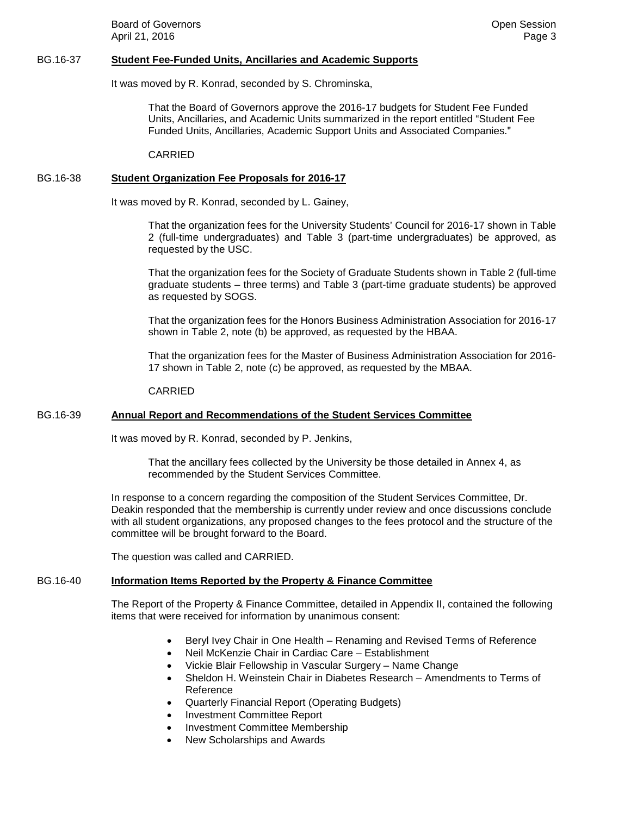**Board of Governors Community Board of Governors Community Community Community Community Community Community Community Community Community Community Community Community Community Community** April 21, 2016 **Page 3** 

#### BG.16-37 **Student Fee-Funded Units, Ancillaries and Academic Supports**

It was moved by R. Konrad, seconded by S. Chrominska,

That the Board of Governors approve the 2016-17 budgets for Student Fee Funded Units, Ancillaries, and Academic Units summarized in the report entitled "Student Fee Funded Units, Ancillaries, Academic Support Units and Associated Companies."

CARRIED

#### BG.16-38 **Student Organization Fee Proposals for 2016-17**

It was moved by R. Konrad, seconded by L. Gainey,

That the organization fees for the University Students' Council for 2016-17 shown in Table 2 (full-time undergraduates) and Table 3 (part-time undergraduates) be approved, as requested by the USC.

That the organization fees for the Society of Graduate Students shown in Table 2 (full-time graduate students – three terms) and Table 3 (part-time graduate students) be approved as requested by SOGS.

That the organization fees for the Honors Business Administration Association for 2016-17 shown in Table 2, note (b) be approved, as requested by the HBAA.

That the organization fees for the Master of Business Administration Association for 2016- 17 shown in Table 2, note (c) be approved, as requested by the MBAA.

#### CARRIED

#### BG.16-39 **Annual Report and Recommendations of the Student Services Committee**

It was moved by R. Konrad, seconded by P. Jenkins,

That the ancillary fees collected by the University be those detailed in Annex 4, as recommended by the Student Services Committee.

In response to a concern regarding the composition of the Student Services Committee, Dr. Deakin responded that the membership is currently under review and once discussions conclude with all student organizations, any proposed changes to the fees protocol and the structure of the committee will be brought forward to the Board.

The question was called and CARRIED.

## BG.16-40 **Information Items Reported by the Property & Finance Committee**

The Report of the Property & Finance Committee, detailed in Appendix II, contained the following items that were received for information by unanimous consent:

- Beryl Ivey Chair in One Health Renaming and Revised Terms of Reference
- Neil McKenzie Chair in Cardiac Care Establishment
- Vickie Blair Fellowship in Vascular Surgery Name Change
- Sheldon H. Weinstein Chair in Diabetes Research Amendments to Terms of Reference
- Quarterly Financial Report (Operating Budgets)
- Investment Committee Report
- Investment Committee Membership
- New Scholarships and Awards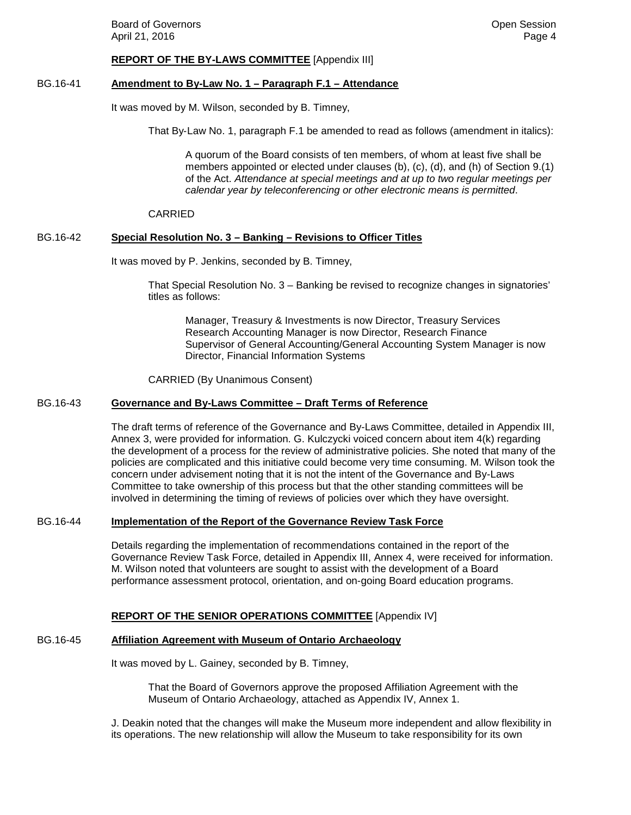#### **REPORT OF THE BY-LAWS COMMITTEE** [Appendix III]

#### BG.16-41 **Amendment to By-Law No. 1 – Paragraph F.1 – Attendance**

It was moved by M. Wilson, seconded by B. Timney,

That By‐Law No. 1, paragraph F.1 be amended to read as follows (amendment in italics):

A quorum of the Board consists of ten members, of whom at least five shall be members appointed or elected under clauses (b), (c), (d), and (h) of Section 9.(1) of the Act. *Attendance at special meetings and at up to two regular meetings per calendar year by teleconferencing or other electronic means is permitted*.

#### CARRIED

#### BG.16-42 **Special Resolution No. 3 – Banking – Revisions to Officer Titles**

It was moved by P. Jenkins, seconded by B. Timney,

That Special Resolution No. 3 – Banking be revised to recognize changes in signatories' titles as follows:

Manager, Treasury & Investments is now Director, Treasury Services Research Accounting Manager is now Director, Research Finance Supervisor of General Accounting/General Accounting System Manager is now Director, Financial Information Systems

CARRIED (By Unanimous Consent)

## BG.16-43 **Governance and By-Laws Committee – Draft Terms of Reference**

The draft terms of reference of the Governance and By-Laws Committee, detailed in Appendix III, Annex 3, were provided for information. G. Kulczycki voiced concern about item 4(k) regarding the development of a process for the review of administrative policies. She noted that many of the policies are complicated and this initiative could become very time consuming. M. Wilson took the concern under advisement noting that it is not the intent of the Governance and By-Laws Committee to take ownership of this process but that the other standing committees will be involved in determining the timing of reviews of policies over which they have oversight.

#### BG.16-44 **Implementation of the Report of the Governance Review Task Force**

Details regarding the implementation of recommendations contained in the report of the Governance Review Task Force, detailed in Appendix III, Annex 4, were received for information. M. Wilson noted that volunteers are sought to assist with the development of a Board performance assessment protocol, orientation, and on-going Board education programs.

#### **REPORT OF THE SENIOR OPERATIONS COMMITTEE** [Appendix IV]

## BG.16-45 **Affiliation Agreement with Museum of Ontario Archaeology**

It was moved by L. Gainey, seconded by B. Timney,

That the Board of Governors approve the proposed Affiliation Agreement with the Museum of Ontario Archaeology, attached as Appendix IV, Annex 1.

J. Deakin noted that the changes will make the Museum more independent and allow flexibility in its operations. The new relationship will allow the Museum to take responsibility for its own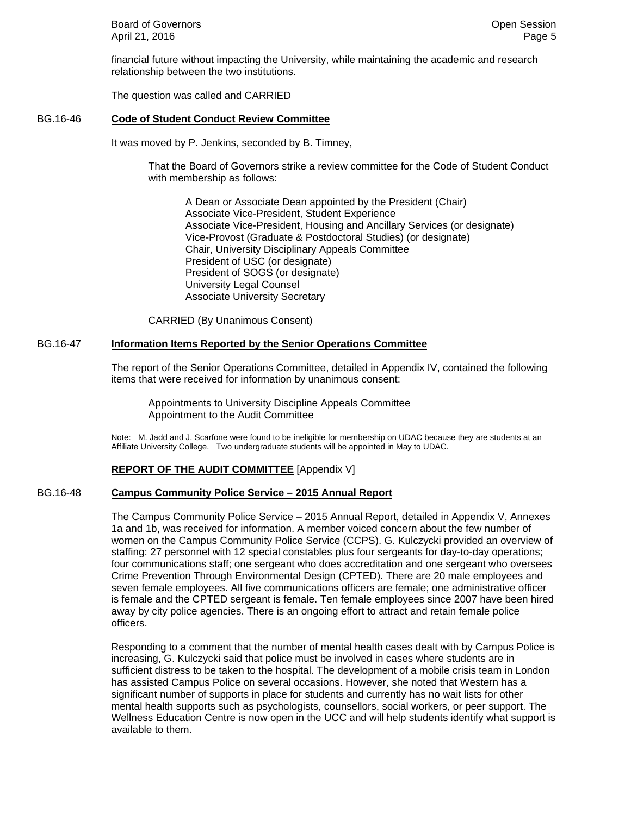**Board of Governors Community Board of Governors Community Community Community Community Community Community Community Community Community Community Community Community Community Community** April 21, 2016 **Page 5** 

financial future without impacting the University, while maintaining the academic and research relationship between the two institutions.

The question was called and CARRIED

#### BG.16-46 **Code of Student Conduct Review Committee**

It was moved by P. Jenkins, seconded by B. Timney,

That the Board of Governors strike a review committee for the Code of Student Conduct with membership as follows:

A Dean or Associate Dean appointed by the President (Chair) Associate Vice-President, Student Experience Associate Vice-President, Housing and Ancillary Services (or designate) Vice-Provost (Graduate & Postdoctoral Studies) (or designate) Chair, University Disciplinary Appeals Committee President of USC (or designate) President of SOGS (or designate) University Legal Counsel Associate University Secretary

CARRIED (By Unanimous Consent)

## BG.16-47 **Information Items Reported by the Senior Operations Committee**

The report of the Senior Operations Committee, detailed in Appendix IV, contained the following items that were received for information by unanimous consent:

 Appointments to University Discipline Appeals Committee Appointment to the Audit Committee

Note: M. Jadd and J. Scarfone were found to be ineligible for membership on UDAC because they are students at an Affiliate University College. Two undergraduate students will be appointed in May to UDAC.

## **REPORT OF THE AUDIT COMMITTEE** [Appendix V]

## BG.16-48 **Campus Community Police Service – 2015 Annual Report**

The Campus Community Police Service – 2015 Annual Report, detailed in Appendix V, Annexes 1a and 1b, was received for information. A member voiced concern about the few number of women on the Campus Community Police Service (CCPS). G. Kulczycki provided an overview of staffing: 27 personnel with 12 special constables plus four sergeants for day-to-day operations; four communications staff; one sergeant who does accreditation and one sergeant who oversees Crime Prevention Through Environmental Design (CPTED). There are 20 male employees and seven female employees. All five communications officers are female; one administrative officer is female and the CPTED sergeant is female. Ten female employees since 2007 have been hired away by city police agencies. There is an ongoing effort to attract and retain female police officers.

Responding to a comment that the number of mental health cases dealt with by Campus Police is increasing, G. Kulczycki said that police must be involved in cases where students are in sufficient distress to be taken to the hospital. The development of a mobile crisis team in London has assisted Campus Police on several occasions. However, she noted that Western has a significant number of supports in place for students and currently has no wait lists for other mental health supports such as psychologists, counsellors, social workers, or peer support. The Wellness Education Centre is now open in the UCC and will help students identify what support is available to them.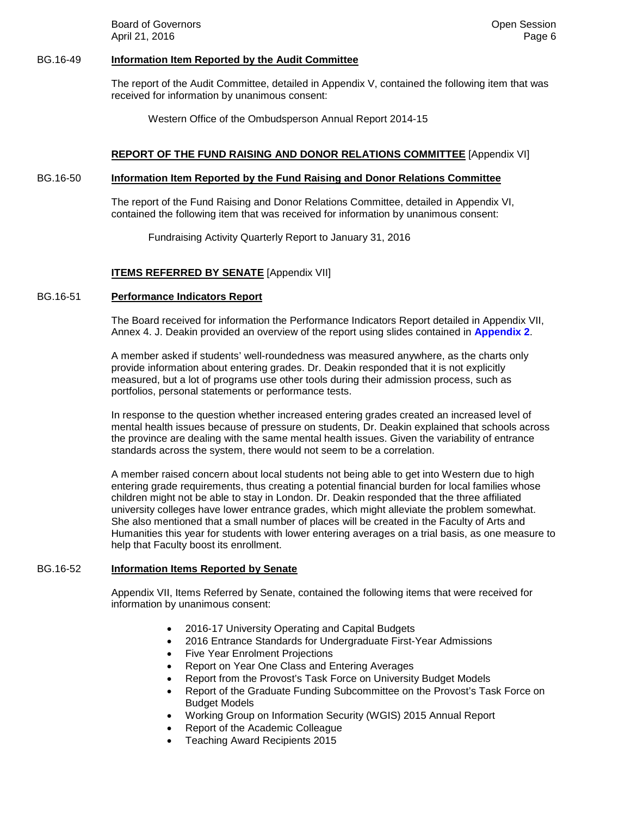**Board of Governors Community Board of Governors Community Community Community Community Community Community Community Community Community Community Community Community Community Community** April 21, 2016 **Page 6** 

#### BG.16-49 **Information Item Reported by the Audit Committee**

The report of the Audit Committee, detailed in Appendix V, contained the following item that was received for information by unanimous consent:

Western Office of the Ombudsperson Annual Report 2014-15

#### **REPORT OF THE FUND RAISING AND DONOR RELATIONS COMMITTEE** [Appendix VI]

#### BG.16-50 **Information Item Reported by the Fund Raising and Donor Relations Committee**

The report of the Fund Raising and Donor Relations Committee, detailed in Appendix VI, contained the following item that was received for information by unanimous consent:

Fundraising Activity Quarterly Report to January 31, 2016

## **ITEMS REFERRED BY SENATE** [Appendix VII]

#### BG.16-51 **Performance Indicators Report**

The Board received for information the Performance Indicators Report detailed in Appendix VII, Annex 4. J. Deakin provided an overview of the report using slides contained in **[Appendix 2](#page--1-0)**.

A member asked if students' well-roundedness was measured anywhere, as the charts only provide information about entering grades. Dr. Deakin responded that it is not explicitly measured, but a lot of programs use other tools during their admission process, such as portfolios, personal statements or performance tests.

In response to the question whether increased entering grades created an increased level of mental health issues because of pressure on students, Dr. Deakin explained that schools across the province are dealing with the same mental health issues. Given the variability of entrance standards across the system, there would not seem to be a correlation.

A member raised concern about local students not being able to get into Western due to high entering grade requirements, thus creating a potential financial burden for local families whose children might not be able to stay in London. Dr. Deakin responded that the three affiliated university colleges have lower entrance grades, which might alleviate the problem somewhat. She also mentioned that a small number of places will be created in the Faculty of Arts and Humanities this year for students with lower entering averages on a trial basis, as one measure to help that Faculty boost its enrollment.

#### BG.16-52 **Information Items Reported by Senate**

Appendix VII, Items Referred by Senate, contained the following items that were received for information by unanimous consent:

- 2016-17 University Operating and Capital Budgets
- 2016 Entrance Standards for Undergraduate First-Year Admissions
- Five Year Enrolment Projections
- Report on Year One Class and Entering Averages
- Report from the Provost's Task Force on University Budget Models
- Report of the Graduate Funding Subcommittee on the Provost's Task Force on Budget Models
- Working Group on Information Security (WGIS) 2015 Annual Report
- Report of the Academic Colleague
- Teaching Award Recipients 2015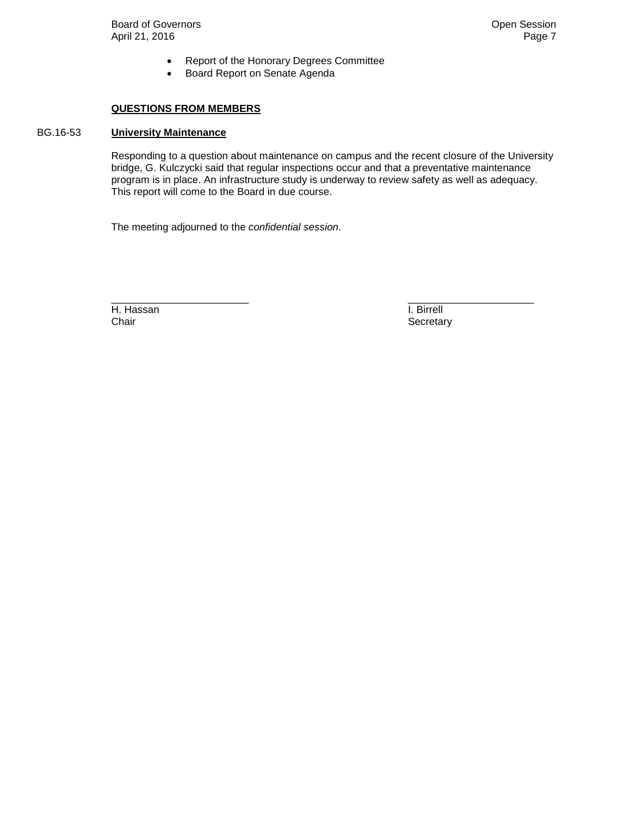Board of Governors **Contact Session**<br>April 21, 2016 **Property** Open Session April 21, 2016

- Report of the Honorary Degrees Committee
- Board Report on Senate Agenda

#### **QUESTIONS FROM MEMBERS**

## BG.16-53 **University Maintenance**

Responding to a question about maintenance on campus and the recent closure of the University bridge, G. Kulczycki said that regular inspections occur and that a preventative maintenance program is in place. An infrastructure study is underway to review safety as well as adequacy. This report will come to the Board in due course.

The meeting adjourned to the *confidential session*.

H. Hassan I. Birrell<br>
Chair **I. Birrell**<br>
Chair **I. Birrell** 

\_\_\_\_\_\_\_\_\_\_\_\_\_\_\_\_\_\_\_\_\_\_\_\_ \_\_\_\_\_\_\_\_\_\_\_\_\_\_\_\_\_\_\_\_\_\_ Secretary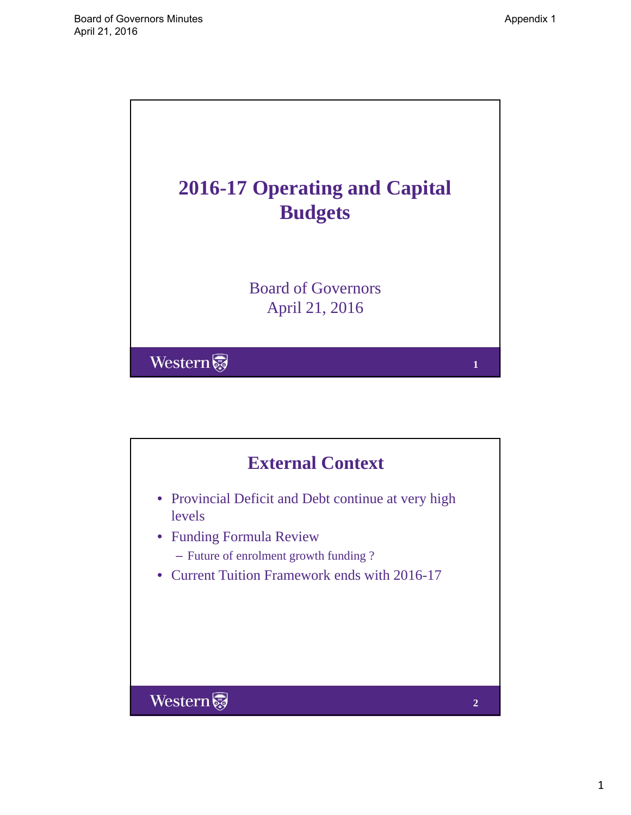

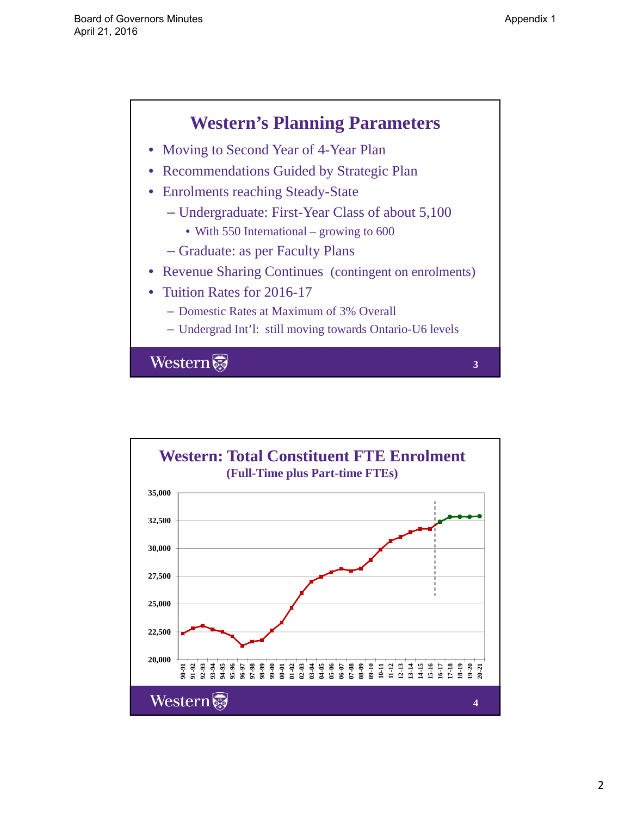**3**



- Moving to Second Year of 4-Year Plan
- Recommendations Guided by Strategic Plan
- Enrolments reaching Steady-State
	- Undergraduate: First-Year Class of about 5,100
		- With 550 International growing to 600
	- Graduate: as per Faculty Plans
- Revenue Sharing Continues (contingent on enrolments)
- Tuition Rates for 2016-17
	- Domestic Rates at Maximum of 3% Overall
	- Undergrad Int'l: still moving towards Ontario-U6 levels

Western

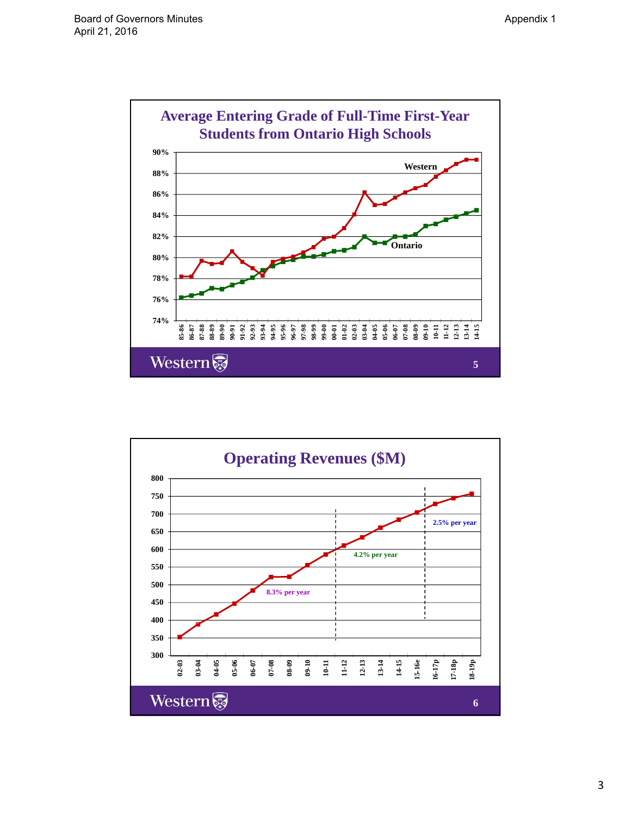

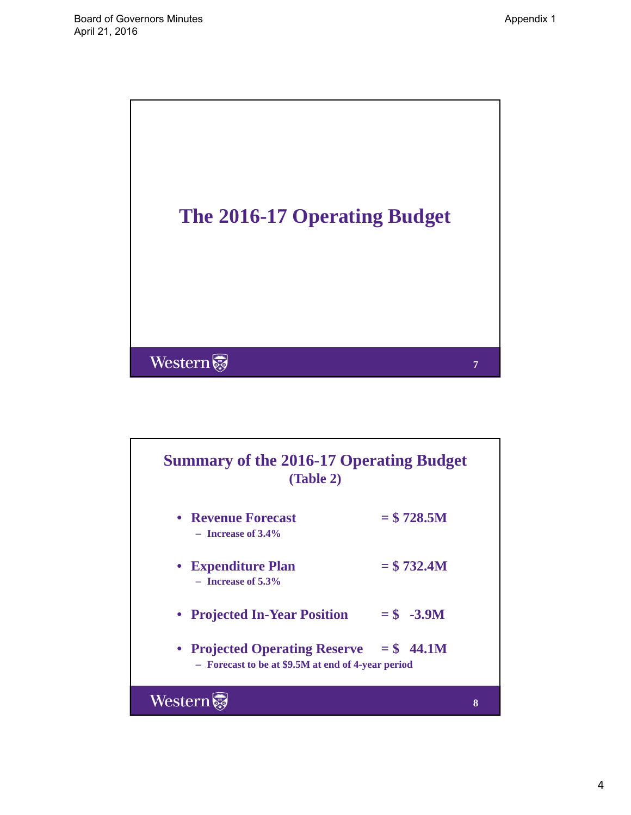

# **Summary of the 2016-17 Operating Budget (Table 2)**

- **Revenue Forecast**  $= $ 728.5M$  $-$ **Increase of 3.4%** 
	- **Expenditure Plan**  $= $732.4M$ – **Increase of 5.3%**
- **Projected In-Year Position = \$ -3.9M**
- **Projected Operating Reserve = \$ 44.1M** – **Forecast to be at \$9.5M at end of 4-year period**

Western

**8**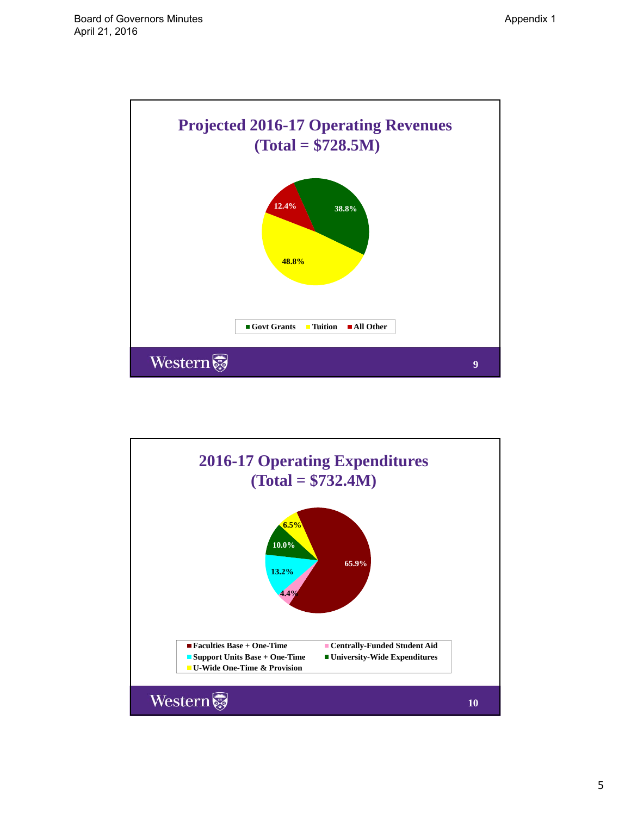

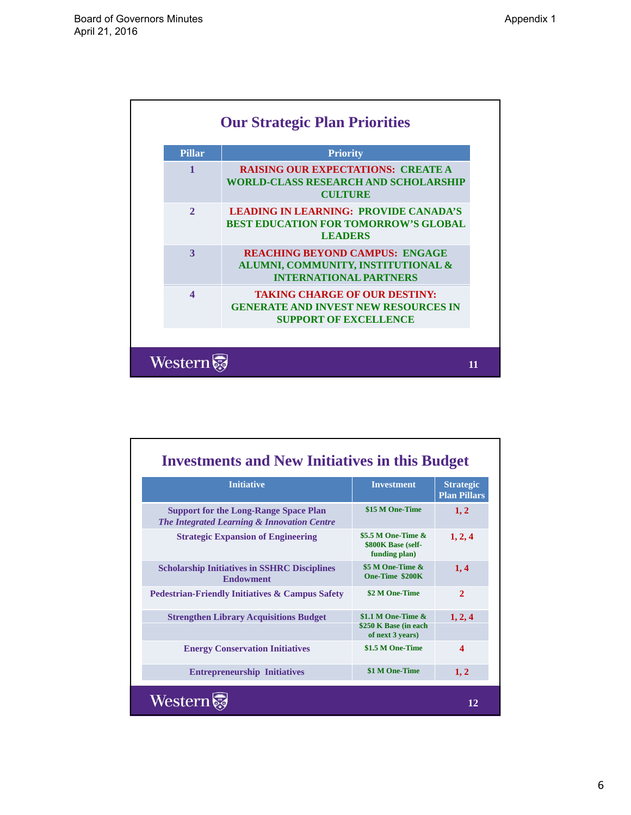| <b>Pillar</b>    | <b>Priority</b>                                                                                                     |
|------------------|---------------------------------------------------------------------------------------------------------------------|
| 1                | <b>RAISING OUR EXPECTATIONS: CREATE A</b><br><b>WORLD-CLASS RESEARCH AND SCHOLARSHIP</b><br><b>CULTURE</b>          |
| $\mathcal{D}$    | <b>LEADING IN LEARNING: PROVIDE CANADA'S</b><br><b>BEST EDUCATION FOR TOMORROW'S GLOBAL</b><br><b>LEADERS</b>       |
| $\mathbf{3}$     | <b>REACHING BEYOND CAMPUS: ENGAGE</b><br>ALUMNI, COMMUNITY, INSTITUTIONAL &<br><b>INTERNATIONAL PARTNERS</b>        |
| $\blacktriangle$ | <b>TAKING CHARGE OF OUR DESTINY:</b><br><b>GENERATE AND INVEST NEW RESOURCES IN</b><br><b>SUPPORT OF EXCELLENCE</b> |

| <b>Initiative</b>                                                                           | <b>Investment</b>                                                  | <b>Strategic</b><br><b>Plan Pillars</b> |
|---------------------------------------------------------------------------------------------|--------------------------------------------------------------------|-----------------------------------------|
| <b>Support for the Long-Range Space Plan</b><br>The Integrated Learning & Innovation Centre | \$15 M One-Time                                                    | 1, 2                                    |
| <b>Strategic Expansion of Engineering</b>                                                   | \$5.5 M One-Time $\&$<br>\$800K Base (self-<br>funding plan)       | 1, 2, 4                                 |
| <b>Scholarship Initiatives in SSHRC Disciplines</b><br><b>Endowment</b>                     | \$5 M One-Time &<br>One-Time \$200K                                | 1, 4                                    |
| <b>Pedestrian-Friendly Initiatives &amp; Campus Safety</b>                                  | \$2 M One-Time                                                     | $\overline{2}$                          |
| <b>Strengthen Library Acquisitions Budget</b>                                               | \$1.1 M One-Time $\&$<br>\$250 K Base (in each<br>of next 3 years) | 1, 2, 4                                 |
| <b>Energy Conservation Initiatives</b>                                                      | \$1.5 M One-Time                                                   | $\boldsymbol{\Lambda}$                  |
| <b>Entrepreneurship Initiatives</b>                                                         | \$1 M One-Time                                                     | 1, 2                                    |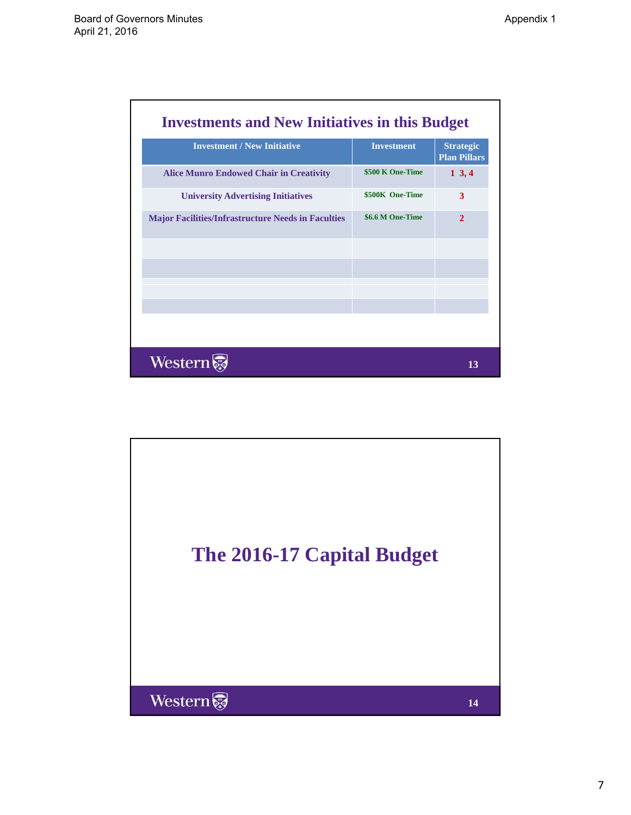| <b>Investments and New Initiatives in this Budget</b>     |                   |                                         |  |  |
|-----------------------------------------------------------|-------------------|-----------------------------------------|--|--|
| <b>Investment / New Initiative</b>                        | <b>Investment</b> | <b>Strategic</b><br><b>Plan Pillars</b> |  |  |
| <b>Alice Munro Endowed Chair in Creativity</b>            | \$500 K One-Time  | $1\,3,4$                                |  |  |
| <b>University Advertising Initiatives</b>                 | \$500K One-Time   | 3                                       |  |  |
| <b>Major Facilities/Infrastructure Needs in Faculties</b> | \$6.6 M One-Time  | $\overline{2}$                          |  |  |
|                                                           |                   |                                         |  |  |
|                                                           |                   |                                         |  |  |
|                                                           |                   |                                         |  |  |
| Western                                                   |                   | 13                                      |  |  |

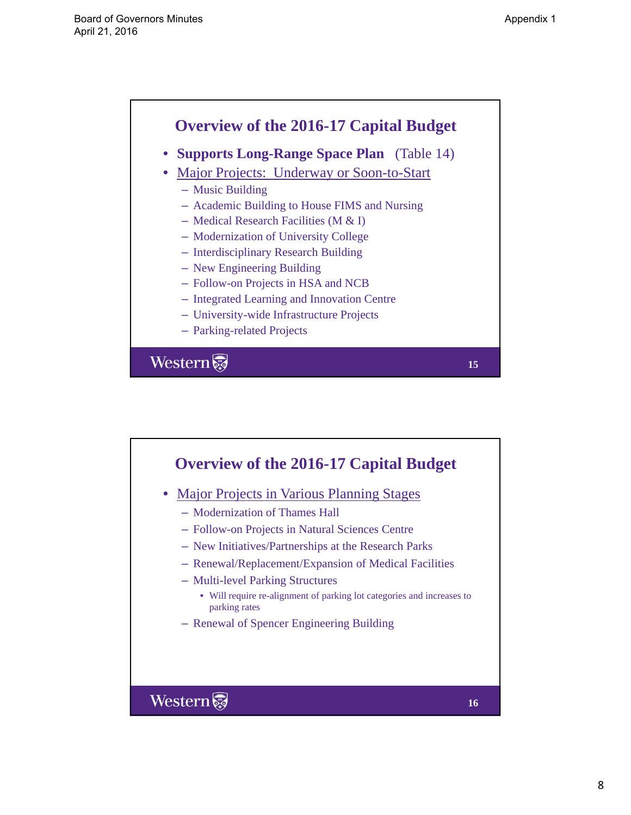**15**

## **Overview of the 2016-17 Capital Budget** • **Supports Long-Range Space Plan** (Table 14) • Major Projects: Underway or Soon-to-Start  $-$  Music Building – Academic Building to House FIMS and Nursing – Medical Research Facilities (M & I) – Modernization of University College – Interdisciplinary Research Building – New Engineering Building – Follow-on Projects in HSA and NCB – Integrated Learning and Innovation Centre – University-wide Infrastructure Projects

– Parking-related Projects

Western

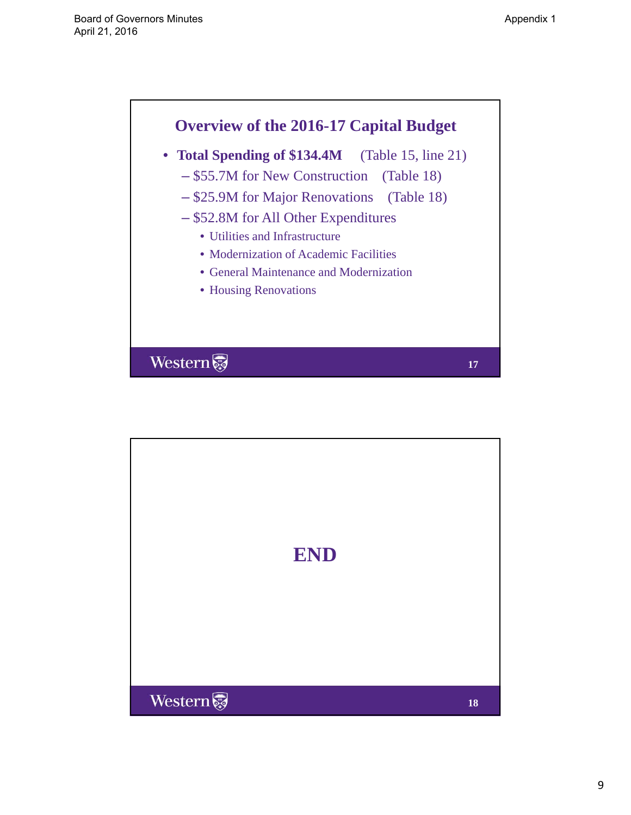

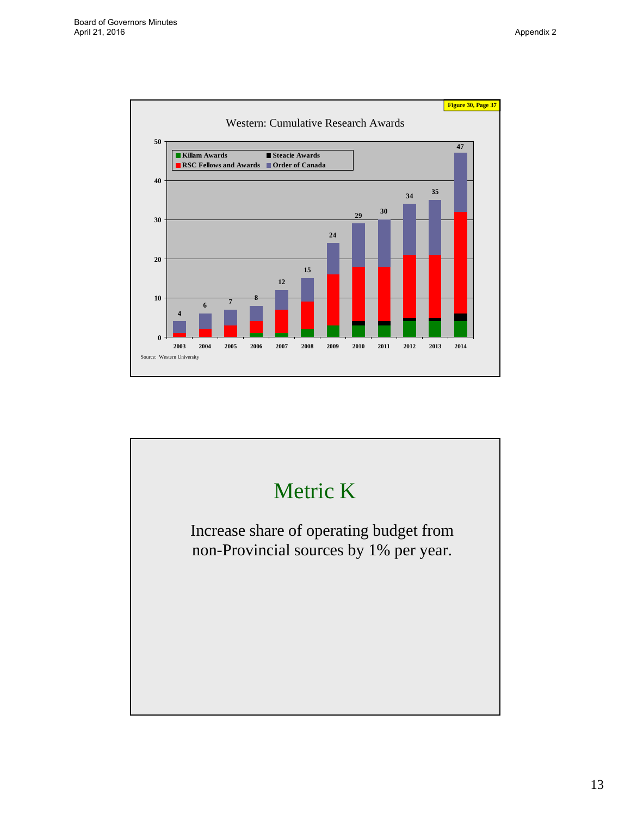

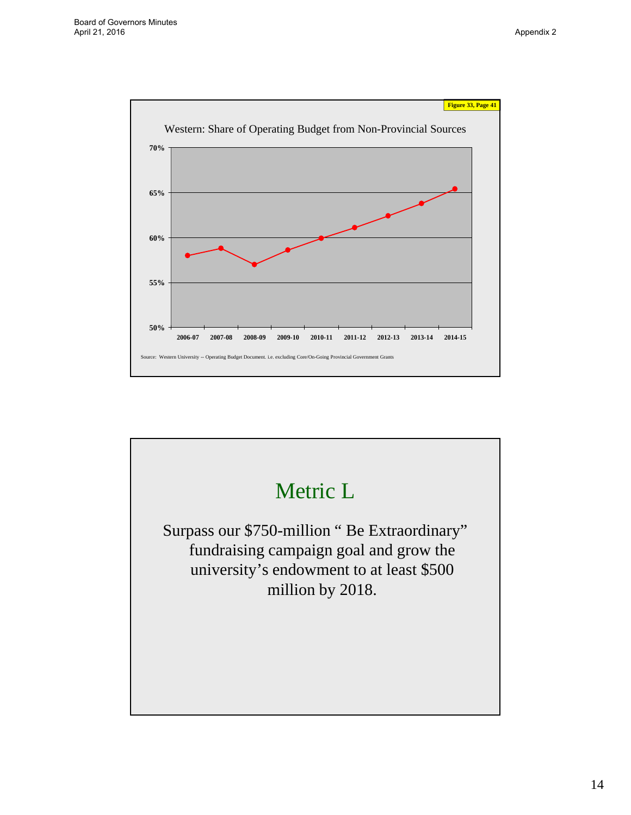

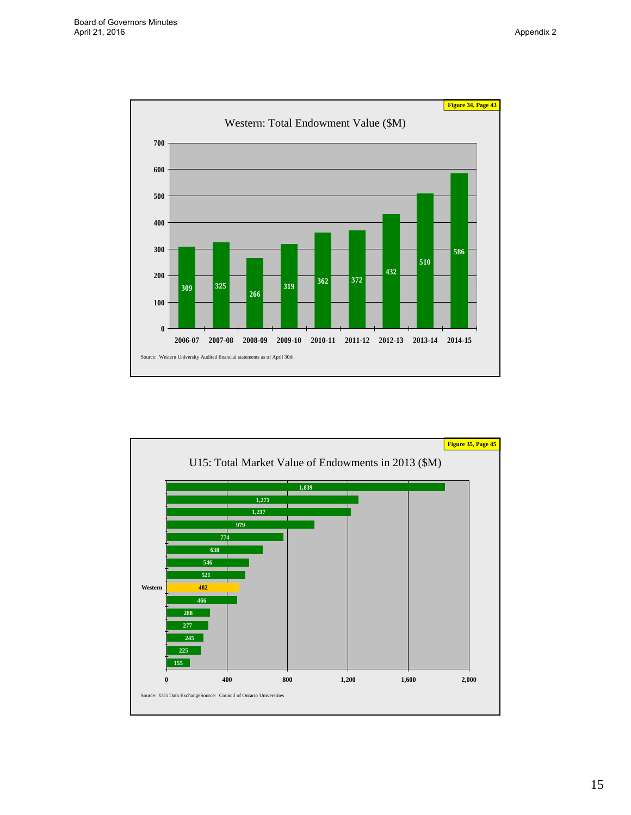

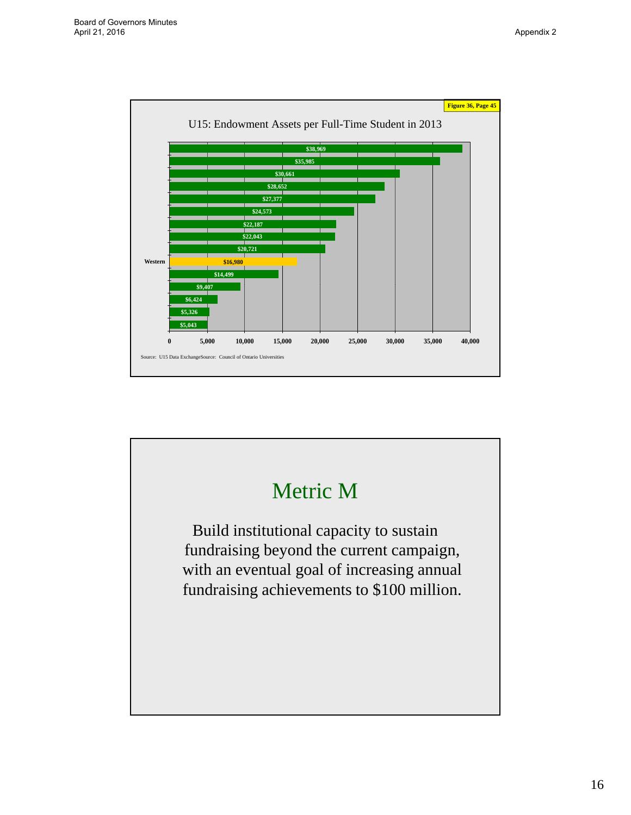